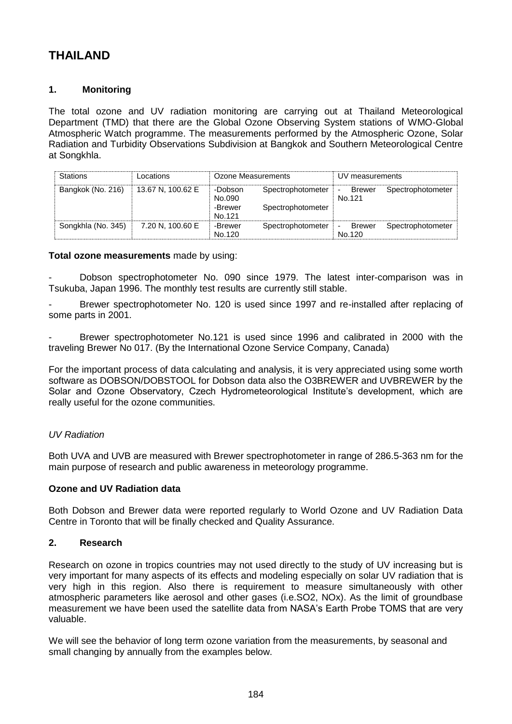# **THAILAND**

# **1. Monitoring**

The total ozone and UV radiation monitoring are carrying out at Thailand Meteorological Department (TMD) that there are the Global Ozone Observing System stations of WMO-Global Atmospheric Watch programme. The measurements performed by the Atmospheric Ozone, Solar Radiation and Turbidity Observations Subdivision at Bangkok and Southern Meteorological Centre at Songkhla.

| <b>Stations</b>    | Locations         | Ozone Measurements                     |                                        | UV measurements                                     |                   |
|--------------------|-------------------|----------------------------------------|----------------------------------------|-----------------------------------------------------|-------------------|
| Bangkok (No. 216)  | 13.67 N, 100.62 E | -Dobson<br>No.090<br>-Brewer<br>No.121 | Spectrophotometer<br>Spectrophotometer | <b>Brewer</b><br>$\overline{\phantom{0}}$<br>No.121 | Spectrophotometer |
| Songkhla (No. 345) | 7.20 N. 100.60 E  | -Brewer<br>No.120                      | Spectrophotometer                      | Brewer<br>No.120                                    | Spectrophotometer |

#### **Total ozone measurements** made by using:

Dobson spectrophotometer No. 090 since 1979. The latest inter-comparison was in Tsukuba, Japan 1996. The monthly test results are currently still stable.

Brewer spectrophotometer No. 120 is used since 1997 and re-installed after replacing of some parts in 2001.

Brewer spectrophotometer No.121 is used since 1996 and calibrated in 2000 with the traveling Brewer No 017. (By the International Ozone Service Company, Canada)

For the important process of data calculating and analysis, it is very appreciated using some worth software as DOBSON/DOBSTOOL for Dobson data also the O3BREWER and UVBREWER by the Solar and Ozone Observatory, Czech Hydrometeorological Institute's development, which are really useful for the ozone communities.

# *UV Radiation*

Both UVA and UVB are measured with Brewer spectrophotometer in range of 286.5-363 nm for the main purpose of research and public awareness in meteorology programme.

## **Ozone and UV Radiation data**

Both Dobson and Brewer data were reported regularly to World Ozone and UV Radiation Data Centre in Toronto that will be finally checked and Quality Assurance.

#### **2. Research**

Research on ozone in tropics countries may not used directly to the study of UV increasing but is very important for many aspects of its effects and modeling especially on solar UV radiation that is very high in this region. Also there is requirement to measure simultaneously with other atmospheric parameters like aerosol and other gases (i.e.SO2, NOx). As the limit of groundbase measurement we have been used the satellite data from NASA's Earth Probe TOMS that are very valuable.

We will see the behavior of long term ozone variation from the measurements, by seasonal and small changing by annually from the examples below.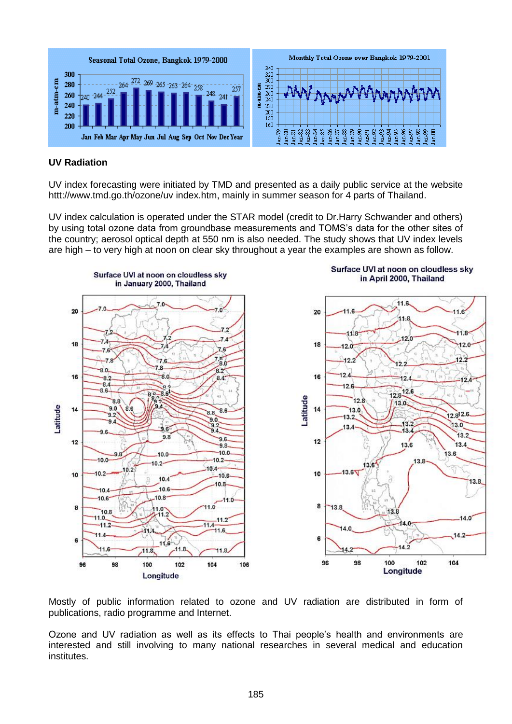

#### **UV Radiation**

UV index forecasting were initiated by TMD and presented as a daily public service at the website httt://www.tmd.go.th/ozone/uv index.htm, mainly in summer season for 4 parts of Thailand.

UV index calculation is operated under the STAR model (credit to Dr.Harry Schwander and others) by using total ozone data from groundbase measurements and TOMS's data for the other sites of the country; aerosol optical depth at 550 nm is also needed. The study shows that UV index levels are high – to very high at noon on clear sky throughout a year the examples are shown as follow.



Mostly of public information related to ozone and UV radiation are distributed in form of publications, radio programme and Internet.

Ozone and UV radiation as well as its effects to Thai people's health and environments are interested and still involving to many national researches in several medical and education institutes.